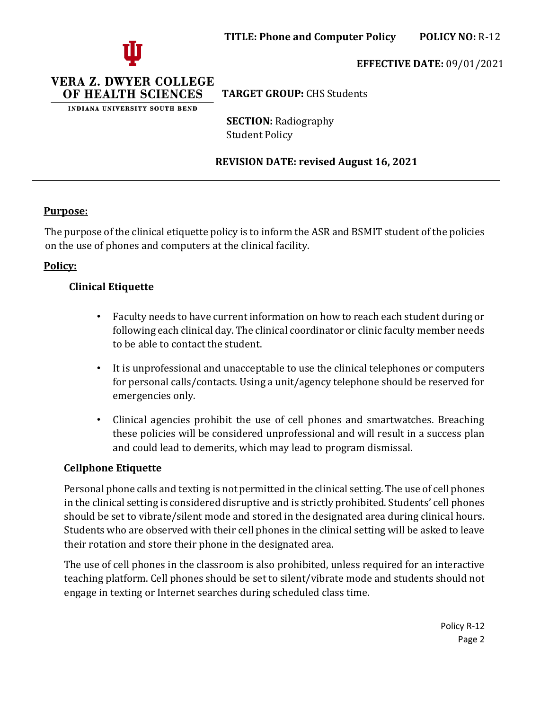

### **EFFECTIVE DATE:** 09/01/2021

VERA Z. DWYER COLLEGE OF HEALTH SCIENCES

INDIANA UNIVERSITY SOUTH BEND

**TARGET GROUP:** CHS Students

**SECTION:** Radiography Student Policy

### **REVISION DATE: revised August 16, 2021**

### **Purpose:**

The purpose of the clinical etiquette policy is to inform the ASR and BSMIT student of the policies on the use of phones and computers at the clinical facility.

# **Policy:**

# **Clinical Etiquette**

- Faculty needs to have current information on how to reach each student during or following each clinical day. The clinical coordinator or clinic faculty member needs to be able to contact the student.
- It is unprofessional and unacceptable to use the clinical telephones or computers for personal calls/contacts. Using a unit/agency telephone should be reserved for emergencies only.
- Clinical agencies prohibit the use of cell phones and smartwatches. Breaching these policies will be considered unprofessional and will result in a success plan and could lead to demerits, which may lead to program dismissal.

### **Cellphone Etiquette**

Personal phone calls and texting is not permitted in the clinical setting. The use of cell phones in the clinical setting is considered disruptive and is strictly prohibited. Students' cell phones should be set to vibrate/silent mode and stored in the designated area during clinical hours. Students who are observed with their cell phones in the clinical setting will be asked to leave their rotation and store their phone in the designated area.

The use of cell phones in the classroom is also prohibited, unless required for an interactive teaching platform. Cell phones should be set to silent/vibrate mode and students should not engage in texting or Internet searches during scheduled class time.